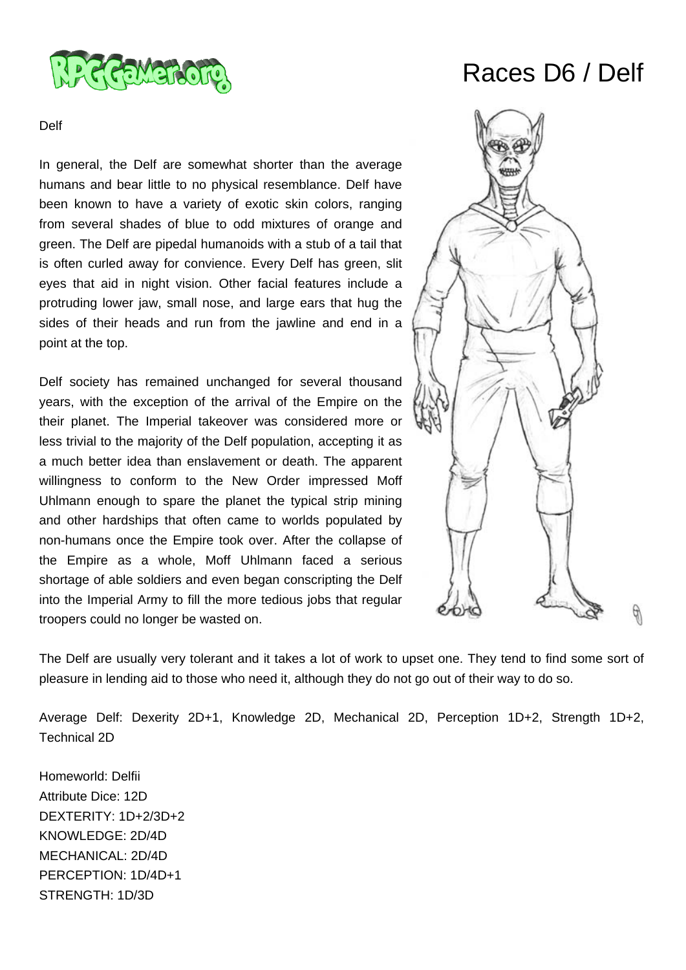

# Races D6 / Delf

## Delf

In general, the Delf are somewhat shorter than the average humans and bear little to no physical resemblance. Delf have been known to have a variety of exotic skin colors, ranging from several shades of blue to odd mixtures of orange and green. The Delf are pipedal humanoids with a stub of a tail that is often curled away for convience. Every Delf has green, slit eyes that aid in night vision. Other facial features include a protruding lower jaw, small nose, and large ears that hug the sides of their heads and run from the jawline and end in a point at the top.

Delf society has remained unchanged for several thousand years, with the exception of the arrival of the Empire on the their planet. The Imperial takeover was considered more or less trivial to the majority of the Delf population, accepting it as a much better idea than enslavement or death. The apparent willingness to conform to the New Order impressed Moff Uhlmann enough to spare the planet the typical strip mining and other hardships that often came to worlds populated by non-humans once the Empire took over. After the collapse of the Empire as a whole, Moff Uhlmann faced a serious shortage of able soldiers and even began conscripting the Delf into the Imperial Army to fill the more tedious jobs that regular troopers could no longer be wasted on.



The Delf are usually very tolerant and it takes a lot of work to upset one. They tend to find some sort of pleasure in lending aid to those who need it, although they do not go out of their way to do so.

Average Delf: Dexerity 2D+1, Knowledge 2D, Mechanical 2D, Perception 1D+2, Strength 1D+2, Technical 2D

Homeworld: Delfii Attribute Dice: 12D DEXTERITY: 1D+2/3D+2 KNOWLEDGE: 2D/4D MECHANICAL: 2D/4D PERCEPTION: 1D/4D+1 STRENGTH: 1D/3D